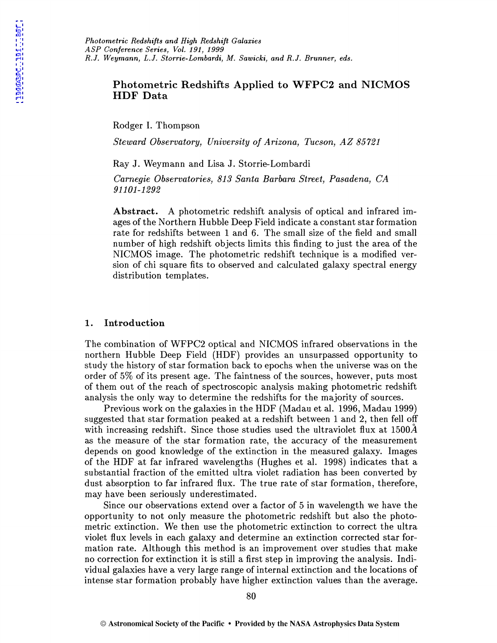# Photometric Redshifts Applied to WFPC2 and NICMOS **HDF** Data

Rodger I. Thompson

*Steward Observatory, University of Arizona, Tucson, AZ 85721* 

Ray J. Weymann and Lisa J. Storrie-Lombardi

*Carnegie Observatories, 813 Santa Barbara Street, Pasadena, CA 91101-1292* 

Abstract. A photometric redshift analysis of optical and infrared images of the Northern Hubble Deep Field indicate a constant star formation rate for redshifts between 1 and 6. The small size of the field and small number of high redshift objects limits this finding to just the area of the NICMOS image. The photometric redshift technique is a modified version of chi square fits to observed and calculated galaxy spectral energy distribution templates.

### 1. Introduction

The combination of WFPC2 optical and NICMOS infrared observations in the northern Hubble Deep Field (HDF) provides an unsurpassed opportunity to study the history of star formation back to epochs when the universe was on the order of 5% of its present age. The faintness of the sources, however, puts most of them out of the reach of spectroscopic analysis making photometric redshift analysis the only way to determine the redshifts for the majority of sources.

Previous work on the galaxies in the HDF (Madau et al. 1996, Madau 1999) suggested that star formation peaked at a redshift between 1 and 2, then fell off with increasing redshift. Since those studies used the ultraviolet flux at  $1500\AA$ as the measure of the star formation rate, the accuracy of the measurement depends on good knowledge of the extinction in the measured galaxy. Images of the HDF at far infrared wavelengths (Hughes et al. 1998) indicates that a substantial fraction of the emitted ultra violet radiation has been converted by dust absorption to far infrared flux. The true rate of star formation, therefore, may have been seriously underestimated.

Since our observations extend over a factor of 5 in wavelength we have the opportunity to not only measure the photometric redshift but also the photometric extinction. We then use the photometric extinction to correct the ultra violet flux levels in each galaxy and determine an extinction corrected star formation rate. Although this method is an improvement over studies that make no correction for extinction it is still a first step in improving the analysis. Individual galaxies have a very large range of internal extinction and the locations of intense star formation probably have higher extinction values than the average.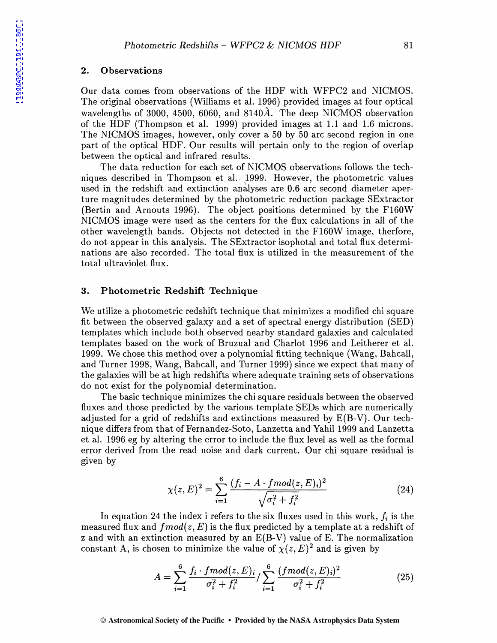### 2. Observations

Our data comes from observations of the HDF with WFPC2 and NICMOS. The original observations (Williams et al. 1996) provided images at four optical wavelengths of 3000, 4500, 6060, and 8140 $\AA$ . The deep NICMOS observation of the HDF (Thompson et al. 1999) provided images at 1.1 and 1.6 microns. The NICMOS images, however, only cover a 50 by 50 arc second region in one part of the optical HDF. Our results will pertain only to the region of overlap between the optical and infrared results.

The data reduction for each set of NICMOS observations follows the techniques described in Thompson et al. 1999. However, the photometric values used in the redshift and extinction analyses are 0.6 arc second diameter aperture magnitudes determined by the photometric reduction package SExtractor (Bertin and Arnouts 1996). The object positions determined by the F160W NICMOS image were used as the centers for the flux calculations in all of the other wavelength bands. Objects not detected in the F160W image, therfore, do not appear in this analysis. The SExtractor isophotal and total flux determinations are also recorded. The total flux is utilized in the measurement of the total ultraviolet flux.

## 3. Photometric Redshift Technique

We utilize a photometric redshift technique that minimizes a modified chi square fit between the observed galaxy and a set of spectral energy distribution (SED) templates which include both observed nearby standard galaxies and calculated templates based on the work of Bruzual and Charlot 1996 and Leitherer et al. 1999. We chose this method over a polynomial fitting technique (Wang, Bahcall, and Turner 1998, Wang, Bahcall, and Turner 1999) since we expect that many of the galaxies will be at high redshifts where adequate training sets of observations do not exist for the polynomial determination.

The basic technique minimizes the chi square residuals between the observed fluxes and those predicted by the various template SEDs which are numerically adjusted for a grid of redshifts and extinctions measured by E(B-V). Our technique differs from that of Fernandez-Soto, Lanzetta and Yahil 1999 and Lanzetta et al. 1996 eg by altering the error to include the flux level as well as the formal error derived from the read noise and dark current. Our chi square residual is given by

$$
\chi(z,E)^2 = \sum_{i=1}^{6} \frac{(f_i - A \cdot \text{fmod}(z,E)_i)^2}{\sqrt{\sigma_i^2 + f_i^2}} \tag{24}
$$

In equation 24 the index i refers to the six fluxes used in this work,  $f_i$  is the measured flux and  $fmod(z, E)$  is the flux predicted by a template at a redshift of z and with an extinction measured by an E(B-V) value of E. The normalization constant A, is chosen to minimize the value of  $\chi(z, E)^2$  and is given by

$$
A = \sum_{i=1}^{6} \frac{f_i \cdot \text{fmod}(z, E)_i}{\sigma_i^2 + f_i^2} / \sum_{i=1}^{6} \frac{(\text{fmod}(z, E)_i)^2}{\sigma_i^2 + f_i^2}
$$
(25)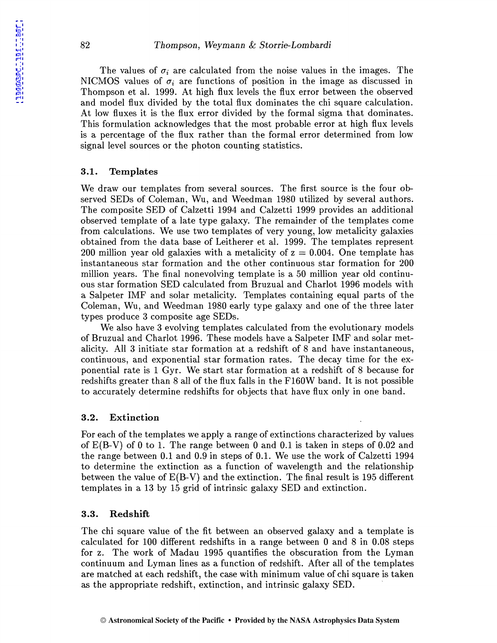The values of  $\sigma_i$  are calculated from the noise values in the images. The NICMOS values of  $\sigma_i$  are functions of position in the image as discussed in Thompson et al. 1999. At high flux levels the flux error between the observed and model flux divided by the total flux dominates the chi square calculation. At low fluxes it is the flux error divided by the formal sigma that dominates. This formulation acknowledges that the most probable error at high flux levels is a percentage of the flux rather than the formal error determined from low signal level sources or the photon counting statistics.

## 3.1. Templates

We draw our templates from several sources. The first source is the four observed SEDs of Coleman, Wu, and Weedman 1980 utilized by several authors. The composite SED of Calzetti 1994 and Calzetti 1999 provides an additional observed template of a late type galaxy. The remainder of the templates come from calculations. We use two templates of very young, low metalicity galaxies obtained from the data base of Leitherer et al. 1999. The templates represent 200 million year old galaxies with a metalicity of  $z = 0.004$ . One template has instantaneous star formation and the other continuous star formation for 200 million years. The final nonevolving template is a 50 million year old continuous star formation SED calculated from Bruzual and Charlot 1996 models with a Salpeter IMF and solar metalicity. Templates containing equal parts of the Coleman, Wu, and Weedman 1980 early type galaxy and one of the three later types produce 3 composite age SEDs.

We also have 3 evolving templates calculated from the evolutionary models of Bruzual and Charlot 1996. These models have a Sal peter IMF and solar metalicity. All 3 initiate star formation at a redshift of 8 and have instantaneous, continuous, and exponential star formation rates. The decay time for the exponential rate is 1 Gyr. We start star formation at a redshift of 8 because for redshifts greater than 8 all of the flux falls in the F160W band. It is not possible to accurately determine redshifts for objects that have flux only in one band.

#### 3.2. Extinction

For each of the templates we apply a range of extinctions characterized by values of E(B-V) of 0 to 1. The range between 0 and 0.1 is taken in steps of 0.02 and the range between 0.1 and 0.9 in steps of 0.1. We use the work of Calzetti 1994 to determine the extinction as a function of wavelength and the relationship between the value of  $E(B-V)$  and the extinction. The final result is 195 different templates in a 13 by 15 grid of intrinsic galaxy SED and extinction.

### 3.3. Redshift

The chi square value of the fit between an observed galaxy and a template is calculated for 100 different redshifts in a range between 0 and 8 in 0.08 steps for z. The work of Madau 1995 quantifies the obscuration from the Lyman continuum and Lyman lines as a function of redshift. After all of the templates are matched at each redshift, the case with minimum value of chi square is taken as the appropriate redshift, extinction, and intrinsic galaxy SED.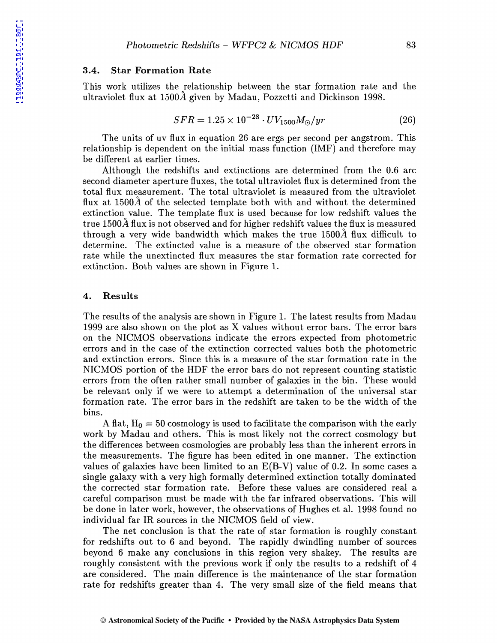#### 3.4. Star Formation Rate

This work utilizes the relationship between the star formation rate and the ultraviolet flux at 1500A given by Madau, Pozzetti and Dickinson 1998.

$$
SFR = 1.25 \times 10^{-28} \cdot UV_{1500} M_{\odot}/yr \tag{26}
$$

The units of uv flux in equation 26 are ergs per second per angstrom. This relationship is dependent on the initial mass function (IMF) and therefore may be different at earlier times.

Although the redshifts and extinctions are determined from the 0.6 arc second diameter aperture fluxes, the total ultraviolet flux is determined from the total flux measurement. The total ultraviolet is measured from the ultraviolet flux at 1500A of the selected template both with and without the determined extinction value. The template flux is used because for low redshift values the true 1500A flux is not observed and for higher redshift values the flux is measured through a very wide bandwidth which makes the true 1500A flux difficult to determine. The extincted value is a measure of the observed star formation rate while the unextincted flux measures the star formation rate corrected for extinction. Both values are shown in Figure 1.

### 4. Results

The results of the analysis are shown in Figure 1. The latest results from Madau 1999 are also shown on the plot as X values without error bars. The error bars on the NICMOS observations indicate the errors expected from photometric errors and in the case of the extinction corrected values both the photometric and extinction errors. Since this is a measure of the star formation rate in the NICMOS portion of the HDF the error bars do not represent counting statistic errors from the often rather small number of galaxies in the bin. These would be relevant only if we were to attempt a determination of the universal star formation rate. The error bars in the redshift are taken to be the width of the bins.

A flat,  $H_0 = 50$  cosmology is used to facilitate the comparison with the early work by Madau and others. This is most likely not the correct cosmology but the differences between cosmologies are probably less than the inherent errors in the measurements. The figure has been edited in one manner. The extinction values of galaxies have been limited to an  $E(B-V)$  value of 0.2. In some cases a single galaxy with a very high formally determined extinction totally dominated the corrected star formation rate. Before these values are considered real a careful comparison must be made with the far infrared observations. This will be done in later work, however, the observations of Hughes et al. 1998 found no individual far IR sources in the NICMOS field of view.

The net conclusion is that the rate of star formation is roughly constant for redshifts out to 6 and beyond. The rapidly dwindling number of sources beyond 6 make any conclusions in this region very shakey. The results are roughly consistent with the previous work if only the results to a redshift of 4 are considered. The main difference is the maintenance of the star formation rate for redshifts greater than 4. The very small size of the field means that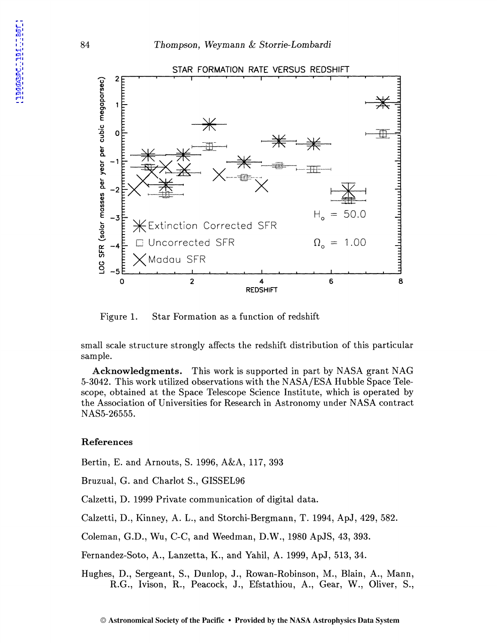

Figure 1. Star Formation as a function of redshift

small scale structure strongly affects the redshift distribution of this particular sample.

**Acknowledgments.** This work is supported in part by NASA grant NAG 5-3042. This work utilized observations with the NASA/ESA Hubble Space Telescope, obtained at the Space Telescope Science Institute, which is operated by the Association of Universities for Research in Astronomy under NASA contract NAS5-26555.

## References

Bertin, E. and Arnouts, S. 1996, A&A, 117, 393

Bruzual, G. and Charlot S., GISSEL96

Calzetti, D. 1999 Private communication of digital data.

Calzetti, D., Kinney, A. L., and Storchi-Bergmann, T. 1994, ApJ, 429, 582.

Coleman, G.D., Wu, C-C, and Weedman, D.W., 1980 ApJS, 43, 393.

Fernandez-Soto, A., Lanzetta, K., and Yahil, A. 1999, ApJ, 513, 34.

Hughes, D., Sergeant, S., Dunlop, J., Rowan-Robinson, M., Blain, A., Mann, R.G., Ivison, R., Peacock, J., Efstathiou, A., Gear, W., Oliver, S.,

84